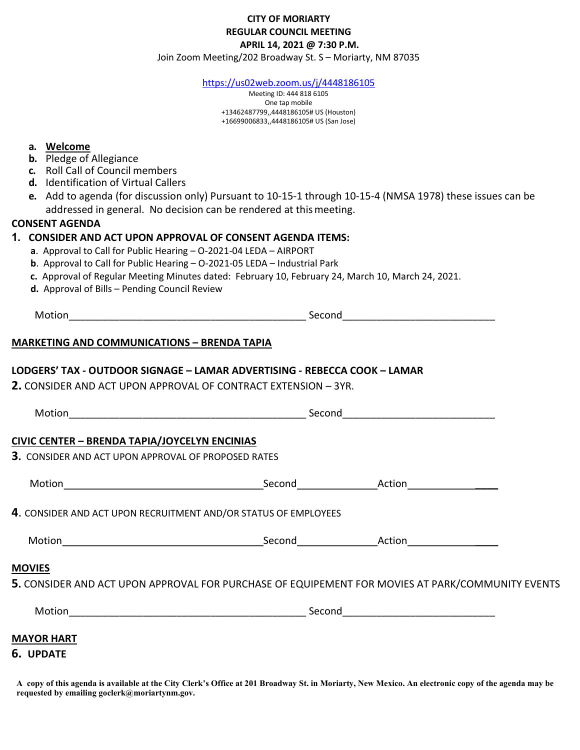## CITY OF MORIARTY REGULAR COUNCIL MEETING APRIL 14, 2021 @ 7:30 P.M.

Join Zoom Meeting/202 Broadway St. S – Moriarty, NM 87035

https://us02web.zoom.us/j/4448186105

Meeting ID: 444 818 6105 One tap mobile +13462487799,,4448186105# US (Houston) +16699006833,,4448186105# US (San Jose)

#### a. Welcome

- b. Pledge of Allegiance
- c. Roll Call of Council members
- d. Identification of Virtual Callers
- e. Add to agenda (for discussion only) Pursuant to 10-15-1 through 10-15-4 (NMSA 1978) these issues can be addressed in general. No decision can be rendered at this meeting.

## CONSENT AGENDA

#### 1. CONSIDER AND ACT UPON APPROVAL OF CONSENT AGENDA ITEMS:

- a. Approval to Call for Public Hearing O-2021-04 LEDA AIRPORT
- b. Approval to Call for Public Hearing O-2021-05 LEDA Industrial Park
- c. Approval of Regular Meeting Minutes dated: February 10, February 24, March 10, March 24, 2021.
- d. Approval of Bills Pending Council Review

| ľМ | חחדר<br>_______ | 3000 <sub>0</sub><br>ാല<br>.<br>----- |  |
|----|-----------------|---------------------------------------|--|
|    |                 |                                       |  |

## MARKETING AND COMMUNICATIONS – BRENDA TAPIA

#### LODGERS' TAX - OUTDOOR SIGNAGE – LAMAR ADVERTISING - REBECCA COOK – LAMAR

2. CONSIDER AND ACT UPON APPROVAL OF CONTRACT EXTENSION – 3YR.

Motion\_\_\_\_\_\_\_\_\_\_\_\_\_\_\_\_\_\_\_\_\_\_\_\_\_\_\_\_\_\_\_\_\_\_\_\_\_\_\_\_\_\_ Second\_\_\_\_\_\_\_\_\_\_\_\_\_\_\_\_\_\_\_\_\_\_\_\_\_\_\_

# CIVIC CENTER – BRENDA TAPIA/JOYCELYN ENCINIAS

3. CONSIDER AND ACT UPON APPROVAL OF PROPOSED RATES

| Motion | Second | Action |
|--------|--------|--------|
|--------|--------|--------|

4. CONSIDER AND ACT UPON RECRUITMENT AND/OR STATUS OF EMPLOYEES

## MOVIES

5. CONSIDER AND ACT UPON APPROVAL FOR PURCHASE OF EQUIPEMENT FOR MOVIES AT PARK/COMMUNITY EVENTS

| Motion |  |
|--------|--|
|        |  |

 $\mathsf{Second}$ 

# MAYOR HART

## 6. UPDATE

A copy of this agenda is available at the City Clerk's Office at 201 Broadway St. in Moriarty, New Mexico. An electronic copy of the agenda may be requested by emailing goclerk@moriartynm.gov.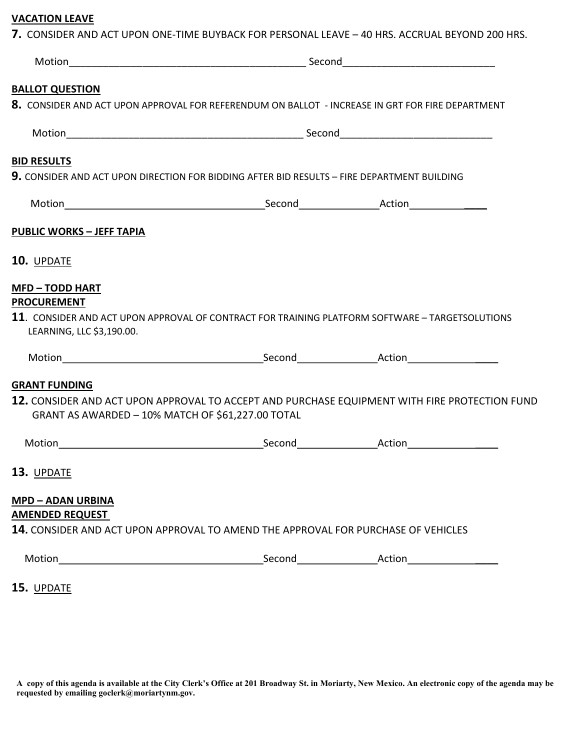## VACATION LEAVE

| <b>BALLOT QUESTION</b>                                                                   |                                                                                             |                                                                                                  |
|------------------------------------------------------------------------------------------|---------------------------------------------------------------------------------------------|--------------------------------------------------------------------------------------------------|
|                                                                                          |                                                                                             | 8. CONSIDER AND ACT UPON APPROVAL FOR REFERENDUM ON BALLOT - INCREASE IN GRT FOR FIRE DEPARTMENT |
|                                                                                          |                                                                                             |                                                                                                  |
| <b>BID RESULTS</b>                                                                       |                                                                                             |                                                                                                  |
|                                                                                          | 9. CONSIDER AND ACT UPON DIRECTION FOR BIDDING AFTER BID RESULTS - FIRE DEPARTMENT BUILDING |                                                                                                  |
|                                                                                          |                                                                                             |                                                                                                  |
| <b>PUBLIC WORKS - JEFF TAPIA</b>                                                         |                                                                                             |                                                                                                  |
| 10. UPDATE                                                                               |                                                                                             |                                                                                                  |
| <b>MFD-TODD HART</b>                                                                     |                                                                                             |                                                                                                  |
| <b>PROCUREMENT</b>                                                                       |                                                                                             |                                                                                                  |
|                                                                                          |                                                                                             |                                                                                                  |
|                                                                                          |                                                                                             | 11. CONSIDER AND ACT UPON APPROVAL OF CONTRACT FOR TRAINING PLATFORM SOFTWARE - TARGETSOLUTIONS  |
| LEARNING, LLC \$3,190.00.                                                                |                                                                                             |                                                                                                  |
|                                                                                          |                                                                                             |                                                                                                  |
|                                                                                          |                                                                                             |                                                                                                  |
|                                                                                          |                                                                                             | 12. CONSIDER AND ACT UPON APPROVAL TO ACCEPT AND PURCHASE EQUIPMENT WITH FIRE PROTECTION FUND    |
| GRANT AS AWARDED - 10% MATCH OF \$61,227.00 TOTAL                                        |                                                                                             |                                                                                                  |
|                                                                                          |                                                                                             |                                                                                                  |
|                                                                                          |                                                                                             |                                                                                                  |
|                                                                                          |                                                                                             |                                                                                                  |
|                                                                                          |                                                                                             |                                                                                                  |
|                                                                                          | 14. CONSIDER AND ACT UPON APPROVAL TO AMEND THE APPROVAL FOR PURCHASE OF VEHICLES           |                                                                                                  |
| <b>GRANT FUNDING</b><br>13. UPDATE<br><b>MPD - ADAN URBINA</b><br><b>AMENDED REQUEST</b> |                                                                                             |                                                                                                  |